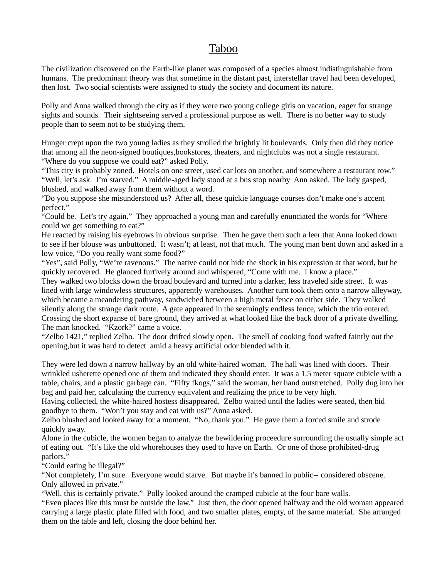## Taboo

The civilization discovered on the Earth-like planet was composed of a species almost indistinguishable from humans. The predominant theory was that sometime in the distant past, interstellar travel had been developed, then lost. Two social scientists were assigned to study the society and document its nature.

Polly and Anna walked through the city as if they were two young college girls on vacation, eager for strange sights and sounds. Their sightseeing served a professional purpose as well. There is no better way to study people than to seem not to be studying them.

Hunger crept upon the two young ladies as they strolled the brightly lit boulevards. Only then did they notice that among all the neon-signed boutiques,bookstores, theaters, and nightclubs was not a single restaurant. "Where do you suppose we could eat?" asked Polly.

"This city is probably zoned. Hotels on one street, used car lots on another, and somewhere a restaurant row." "Well, let's ask. I'm starved." A middle-aged lady stood at a bus stop nearby Ann asked. The lady gasped, blushed, and walked away from them without a word.

"Do you suppose she misunderstood us? After all, these quickie language courses don't make one's accent perfect."

"Could be. Let's try again." They approached a young man and carefully enunciated the words for "Where could we get something to eat?"

He reacted by raising his eyebrows in obvious surprise. Then he gave them such a leer that Anna looked down to see if her blouse was unbuttoned. It wasn't; at least, not that much. The young man bent down and asked in a low voice, "Do you really want some food?"

"Yes", said Polly, "We're ravenous." The native could not hide the shock in his expression at that word, but he quickly recovered. He glanced furtively around and whispered, "Come with me. I know a place."

They walked two blocks down the broad boulevard and turned into a darker, less traveled side street. It was lined with large windowless structures, apparently warehouses. Another turn took them onto a narrow alleyway, which became a meandering pathway, sandwiched between a high metal fence on either side. They walked silently along the strange dark route. A gate appeared in the seemingly endless fence, which the trio entered. Crossing the short expanse of bare ground, they arrived at what looked like the back door of a private dwelling. The man knocked. "Kzork?" came a voice.

"Zelbo 1421," replied Zelbo. The door drifted slowly open. The smell of cooking food wafted faintly out the opening,but it was hard to detect amid a heavy artificial odor blended with it.

They were led down a narrow hallway by an old white-haired woman. The hall was lined with doors. Their wrinkled usherette opened one of them and indicated they should enter. It was a 1.5 meter square cubicle with a table, chairs, and a plastic garbage can. "Fifty fkogs," said the woman, her hand outstretched. Polly dug into her bag and paid her, calculating the currency equivalent and realizing the price to be very high.

Having collected, the white-haired hostess disappeared. Zelbo waited until the ladies were seated, then bid goodbye to them. "Won't you stay and eat with us?" Anna asked.

Zelbo blushed and looked away for a moment. "No, thank you." He gave them a forced smile and strode quickly away.

Alone in the cubicle, the women began to analyze the bewildering proceedure surrounding the usually simple act of eating out. "It's like the old whorehouses they used to have on Earth. Or one of those prohibited-drug parlors."

"Could eating be illegal?"

"Not completely, I'm sure. Everyone would starve. But maybe it's banned in public-- considered obscene. Only allowed in private."

"Well, this is certainly private." Polly looked around the cramped cubicle at the four bare walls.

"Even places like this must be outside the law." Just then, the door opened halfway and the old woman appeared carrying a large plastic plate filled with food, and two smaller plates, empty, of the same material. She arranged them on the table and left, closing the door behind her.